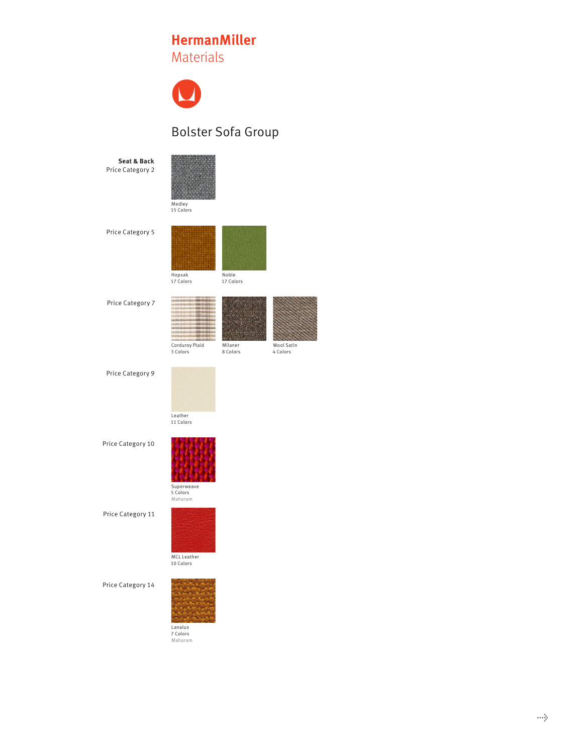## **HermanMiller HermanMiller HermanMiller**Materials Materials Materials



## Bolster Sofa Group



| $AA = -11 - 1$ |
|----------------|

Medley<br>15 Colors

Price Category 5



Price Category 7





Price Category 9

Leather<br>11 Colors

Price Category 10 **Armpads** 



Superweave 5 Colors Maharam Superweave<br>5 Colors

Price Category 11



Price Category 14



Lanalux 7 Colors Maharam Lanalux<br>7 Colors